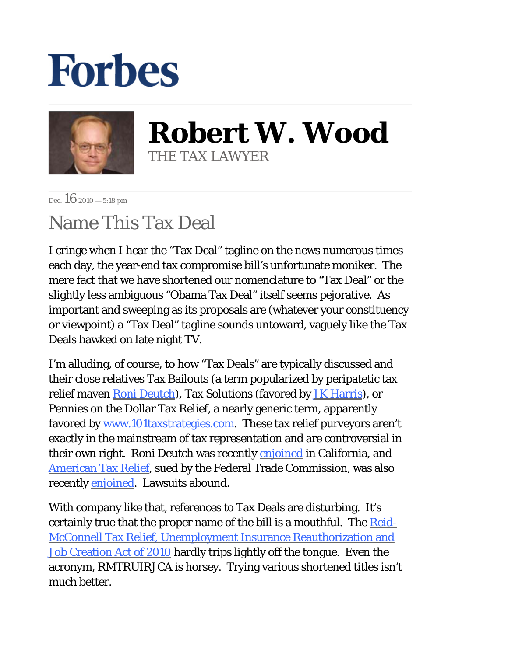## **Forbes**



**Robert W. Wood** THE TAX LAWYER

Dec.  $16_{2010} - 5:18$  pm

## Name This Tax Deal

I cringe when I hear the "Tax Deal" tagline on the news numerous times each day, the year-end tax compromise bill's unfortunate moniker. The mere fact that we have shortened our nomenclature to "Tax Deal" or the slightly less ambiguous "Obama Tax Deal" itself seems pejorative. As important and sweeping as its proposals are (whatever your constituency or viewpoint) a "Tax Deal" tagline sounds untoward, vaguely like the Tax Deals hawked on late night TV.

I'm alluding, of course, to how "Tax Deals" are typically discussed and their close relatives Tax Bailouts (a term popularized by peripatetic tax relief maven [Roni Deutch](http://www.ronideutch.com/)), Tax Solutions (favored by [JK Harris](http://www.jkharris.com/)), or Pennies on the Dollar Tax Relief, a nearly generic term, apparently favored b[y www.101taxstrategies.com](http://www.101taxstrategies.com/). These tax relief purveyors aren't exactly in the mainstream of tax representation and are controversial in their own right. Roni Deutch was recently [enjoined](http://blogs.forbes.com/stephendunn/2010/11/17/deutch-enjoined/) in California, and [American Tax Relief](http://www.ftc.gov/os/caselist/1023083/index.shtm), sued by the Federal Trade Commission, was also recently **enjoined**. Lawsuits abound.

With company like that, references to Tax Deals are disturbing. It's certainly true that the proper name of the bill is a mouthful. The [Reid-](http://www.gpo.gov/fdsys/pkg/BILLS-111hr4853eh/pdf/BILLS-111hr4853eh.pdf)[McConnell Tax Relief, Unemployment Insurance Reauthorization and](http://www.gpo.gov/fdsys/pkg/BILLS-111hr4853eh/pdf/BILLS-111hr4853eh.pdf) [Job Creation Act of 2010](http://www.gpo.gov/fdsys/pkg/BILLS-111hr4853eh/pdf/BILLS-111hr4853eh.pdf) hardly trips lightly off the tongue. Even the acronym, RMTRUIRJCA is horsey. Trying various shortened titles isn't much better.